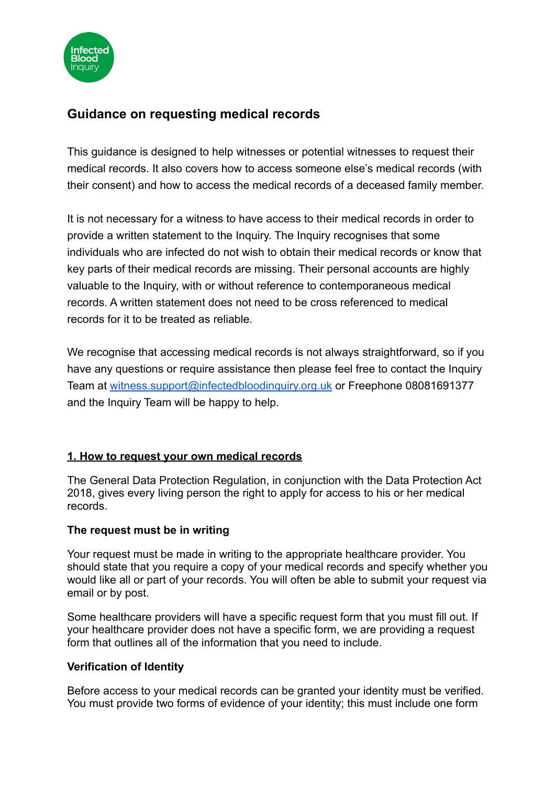

# **Guidance on requesting medical records**

This guidance is designed to help witnesses or potential witnesses to request their medical records. It also covers how to access someone else's medical records (with their consent) and how to access the medical records of a deceased family member.

It is not necessary for a witness to have access to their medical records in order to provide a written statement to the Inquiry. The Inquiry recognises that some individuals who are infected do not wish to obtain their medical records or know that key parts of their medical records are missing. Their personal accounts are highly valuable to the Inquiry, with or without reference to contemporaneous medical records. A written statement does not need to be cross referenced to medical records for it to be treated as reliable.

We recognise that accessing medical records is not always straightforward, so if you have any questions or require assistance then please feel free to contact the Inquiry Team at [witness.support@infectedbloodinquiry.org.uk](mailto:witness.support@infectedbloodinquiry.org.uk) or Freephone 08081691377 and the Inquiry Team will be happy to help.

## **1. How to request your own medical records**

The General Data Protection Regulation, in conjunction with the Data Protection Act 2018, gives every living person the right to apply for access to his or her medical records.

#### **The request must be in writing**

Your request must be made in writing to the appropriate healthcare provider. You should state that you require a copy of your medical records and specify whether you would like all or part of your records. You will often be able to submit your request via email or by post.

Some healthcare providers will have a specific request form that you must fill out. If your healthcare provider does not have a specific form, we are providing a request form that outlines all of the information that you need to include.

### **Verification of Identity**

Before access to your medical records can be granted your identity must be verified. You must provide two forms of evidence of your identity; this must include one form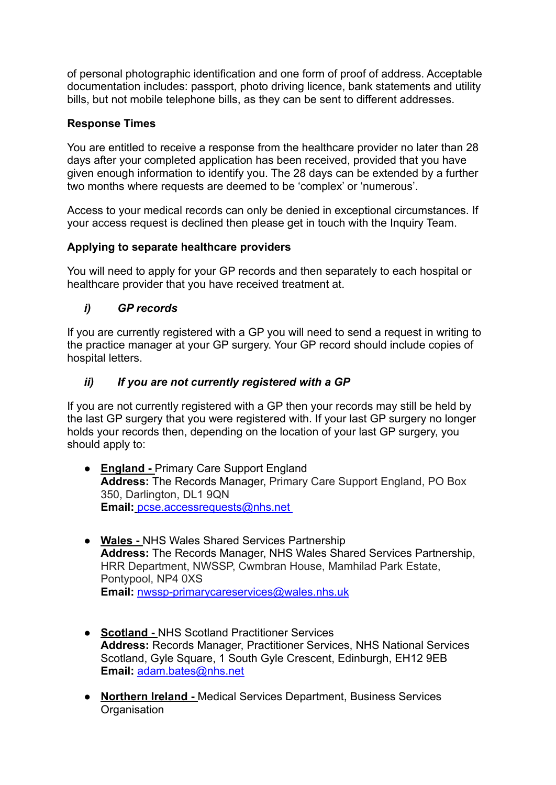of personal photographic identification and one form of proof of address. Acceptable documentation includes: passport, photo driving licence, bank statements and utility bills, but not mobile telephone bills, as they can be sent to different addresses.

## **Response Times**

You are entitled to receive a response from the healthcare provider no later than 28 days after your completed application has been received, provided that you have given enough information to identify you. The 28 days can be extended by a further two months where requests are deemed to be 'complex' or 'numerous'.

Access to your medical records can only be denied in exceptional circumstances. If your access request is declined then please get in touch with the Inquiry Team.

### **Applying to separate healthcare providers**

You will need to apply for your GP records and then separately to each hospital or healthcare provider that you have received treatment at.

## *i) GP records*

If you are currently registered with a GP you will need to send a request in writing to the practice manager at your GP surgery. Your GP record should include copies of hospital letters.

## *ii) If you are not currently registered with a GP*

If you are not currently registered with a GP then your records may still be held by the last GP surgery that you were registered with. If your last GP surgery no longer holds your records then, depending on the location of your last GP surgery, you should apply to:

- **England -** Primary Care Support England **Address:** The Records Manager, Primary Care Support England, PO Box 350, Darlington, DL1 9QN **Email:** [pcse.accessrequests@nhs.net](mailto:pcse.accessrequests@nhs.net)
- **Wales -** NHS Wales Shared Services Partnership **Address:** The Records Manager, NHS Wales Shared Services Partnership, HRR Department, NWSSP, Cwmbran House, Mamhilad Park Estate, Pontypool, NP4 0XS **Email:** [nwssp-primarycareservices@wales.nhs.uk](mailto:nwssp-primarycareservices@wales.nhs.uk)
- **Scotland -** NHS Scotland Practitioner Services **Address:** Records Manager, Practitioner Services, NHS National Services Scotland, Gyle Square, 1 South Gyle Crescent, Edinburgh, EH12 9EB **Email:** [adam.bates@nhs.net](mailto:adam.bates@nhs.net)
- **Northern Ireland -** Medical Services Department, Business Services **Organisation**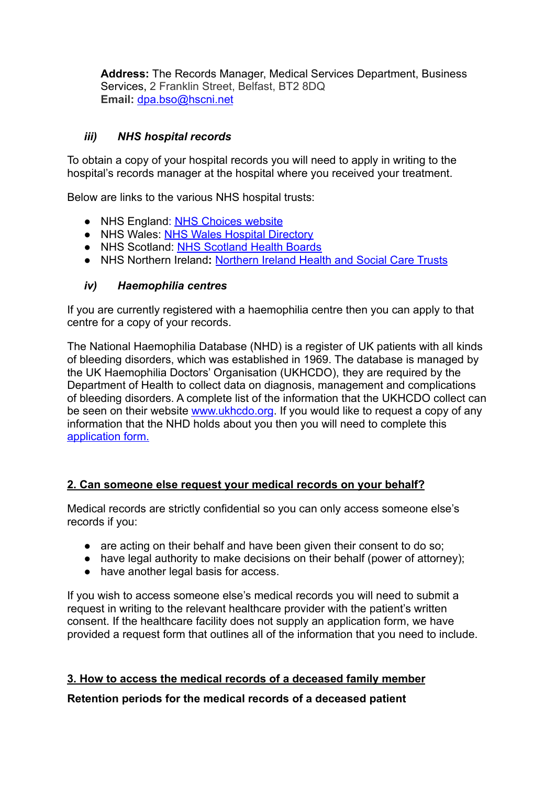**Address:** The Records Manager, Medical Services Department, Business Services, 2 Franklin Street, Belfast, BT2 8DQ **Email:** dpa.bso@hscni.net

## *iii) NHS hospital records*

To obtain a copy of your hospital records you will need to apply in writing to the hospital's records manager at the hospital where you received your treatment.

Below are links to the various NHS hospital trusts:

- NHS England: [NHS Choices website](http://www.nhs.uk/servicedirectories/pages/acutetrustlisting.aspx)
- NHS Wales: [NHS Wales Hospital Directory](http://www.wales.nhs.uk/ourservices/directory/Hospitals)
- NHS Scotland: [NHS Scotland Health Boards](https://www.scot.nhs.uk/organisations/)
- NHS Northern Ireland**:** [Northern Ireland Health and](https://www.nidirect.gov.uk/contacts/health-and-social-care-trusts) Social Care Trusts

### *iv) Haemophilia centres*

If you are currently registered with a haemophilia centre then you can apply to that centre for a copy of your records.

The National Haemophilia Database (NHD) is a register of UK patients with all kinds of bleeding disorders, which was established in 1969. The database is managed by the UK Haemophilia Doctors' Organisation (UKHCDO), they are required by the Department of Health to collect data on diagnosis, management and complications of bleeding disorders. A complete list of the information that the UKHCDO collect can be seen on their website [www.ukhcdo.org](http://www.ukhcdo.org/nhd/). If you would like to request a copy of any information that the NHD holds about you then you will need to complete this [application form.](http://www.ukhcdo.org/wp-content/uploads/2018/05/Application-for-access-to-health-records_Patient-_May2018.pdf)

### **2. Can someone else request your medical records on your behalf?**

Medical records are strictly confidential so you can only access someone else's records if you:

- are acting on their behalf and have been given their consent to do so:
- have legal authority to make decisions on their behalf (power of attorney);
- have another legal basis for access.

If you wish to access someone else's medical records you will need to submit a request in writing to the relevant healthcare provider with the patient's written consent. If the healthcare facility does not supply an application form, we have provided a request form that outlines all of the information that you need to include.

### **3. How to access the medical records of a deceased family member**

### **Retention periods for the medical records of a deceased patient**